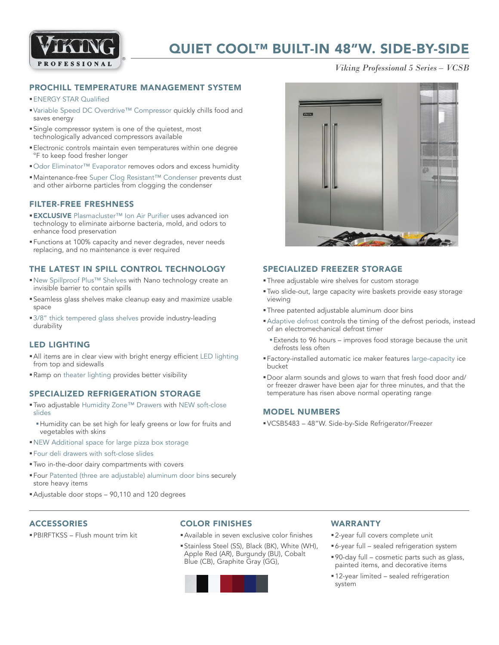

## QUIET COOL™ BUILT-IN 48"W. SIDE-BY-SIDE

*Viking Professional 5 Series – VCSB*

## PROCHILL TEMPERATURE MANAGEMENT SYSTEM

#### **ENERGY STAR Qualified**

- Variable Speed DC Overdrive™ Compressor quickly chills food and saves energy
- §Single compressor system is one of the quietest, most technologically advanced compressors available
- §Electronic controls maintain even temperatures within one degree °F to keep food fresher longer
- Odor Eliminator™ Evaporator removes odors and excess humidity
- Maintenance-free Super Clog Resistant™ Condenser prevents dust and other airborne particles from clogging the condenser

### FILTER-FREE FRESHNESS

- EXCLUSIVE Plasmacluster™ Ion Air Purifier uses advanced ion technology to eliminate airborne bacteria, mold, and odors to enhance food preservation
- §Functions at 100% capacity and never degrades, never needs replacing, and no maintenance is ever required

## THE LATEST IN SPILL CONTROL TECHNOLOGY

- ■New Spillproof Plus™ Shelves with Nano technology create an invisible barrier to contain spills
- §Seamless glass shelves make cleanup easy and maximize usable space
- 3/8" thick tempered glass shelves provide industry-leading durability

## LED LIGHTING

- §All items are in clear view with bright energy efficient LED lighting from top and sidewalls
- §Ramp on theater lighting provides better visibility

#### SPECIALIZED REFRIGERATION STORAGE

- Two adjustable Humidity Zone™ Drawers with NEW soft-close slides
	- §Humidity can be set high for leafy greens or low for fruits and vegetables with skins
- §NEW Additional space for large pizza box storage
- §Four deli drawers with soft-close slides
- §Two in-the-door dairy compartments with covers
- §Four Patented (three are adjustable) aluminum door bins securely store heavy items
- Adjustable door stops 90,110 and 120 degrees

## **ACCESSORIES**

§PBIRFTKSS – Flush mount trim kit

## COLOR FINISHES

- §Available in seven exclusive color finishes
- §Stainless Steel (SS), Black (BK), White (WH), Apple Red (AR), Burgundy (BU), Cobalt Blue (CB), Graphite Gray (GG),



## WARRANTY

- 2-year full covers complete unit
- 6-year full sealed refrigeration system
- §90-day full cosmetic parts such as glass, painted items, and decorative items
- 12-year limited sealed refrigeration system



### SPECIALIZED FREEZER STORAGE

- §Three adjustable wire shelves for custom storage
- §Two slide-out, large capacity wire baskets provide easy storage viewing
- §Three patented adjustable aluminum door bins
- §Adaptive defrost controls the timing of the defrost periods, instead of an electromechanical defrost timer
	- Extends to 96 hours improves food storage because the unit defrosts less often
- §Factory-installed automatic ice maker features large-capacity ice bucket
- §Door alarm sounds and glows to warn that fresh food door and/ or freezer drawer have been ajar for three minutes, and that the temperature has risen above normal operating range

## MODEL NUMBERS

§VCSB5483 – 48"W. Side-by-Side Refrigerator/Freezer